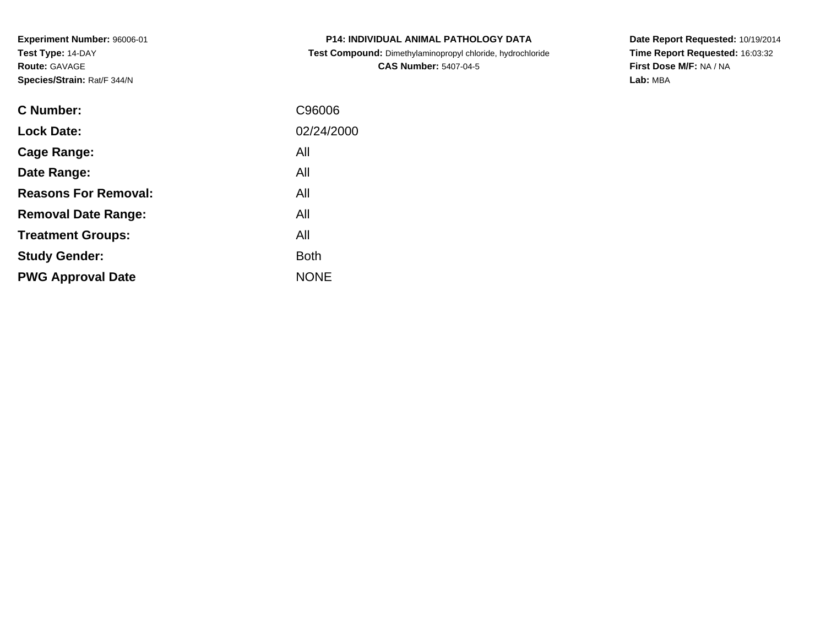**Experiment Number:** 96006-01**Test Type:** 14-DAY**Route:** GAVAGE**Species/Strain:** Rat/F 344/N

| <b>P14: INDIVIDUAL ANIMAL PATHOLOGY DATA</b>               |
|------------------------------------------------------------|
| Test Compound: Dimethylaminopropyl chloride, hydrochloride |
| <b>CAS Number: 5407-04-5</b>                               |

**Date Report Requested:** 10/19/2014 **Time Report Requested:** 16:03:32**First Dose M/F:** NA / NA**Lab:** MBA

| <b>C</b> Number:            | C96006      |
|-----------------------------|-------------|
| <b>Lock Date:</b>           | 02/24/2000  |
| Cage Range:                 | All         |
| Date Range:                 | All         |
| <b>Reasons For Removal:</b> | All         |
| <b>Removal Date Range:</b>  | All         |
| <b>Treatment Groups:</b>    | All         |
| <b>Study Gender:</b>        | <b>Both</b> |
| <b>PWG Approval Date</b>    | <b>NONE</b> |
|                             |             |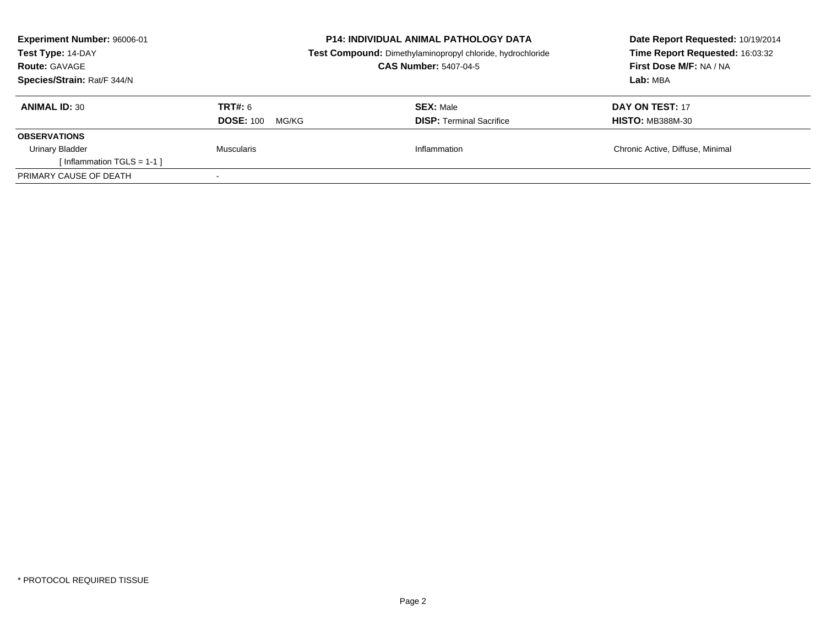| Experiment Number: 96006-01  | <b>P14: INDIVIDUAL ANIMAL PATHOLOGY DATA</b><br>Test Compound: Dimethylaminopropyl chloride, hydrochloride |                                 | Date Report Requested: 10/19/2014<br>Time Report Requested: 16:03:32 |  |
|------------------------------|------------------------------------------------------------------------------------------------------------|---------------------------------|----------------------------------------------------------------------|--|
| Test Type: 14-DAY            |                                                                                                            |                                 |                                                                      |  |
| <b>Route: GAVAGE</b>         |                                                                                                            | <b>CAS Number: 5407-04-5</b>    | First Dose M/F: NA / NA                                              |  |
| Species/Strain: Rat/F 344/N  |                                                                                                            | Lab: MBA                        |                                                                      |  |
| <b>ANIMAL ID: 30</b>         | TRT#: 6                                                                                                    | <b>SEX: Male</b>                | <b>DAY ON TEST: 17</b>                                               |  |
|                              | <b>DOSE: 100</b><br>MG/KG                                                                                  | <b>DISP:</b> Terminal Sacrifice | <b>HISTO: MB388M-30</b>                                              |  |
| <b>OBSERVATIONS</b>          |                                                                                                            |                                 |                                                                      |  |
| Urinary Bladder              | Muscularis                                                                                                 | Inflammation                    | Chronic Active, Diffuse, Minimal                                     |  |
| [Inflammation TGLS = $1-1$ ] |                                                                                                            |                                 |                                                                      |  |
| PRIMARY CAUSE OF DEATH       |                                                                                                            |                                 |                                                                      |  |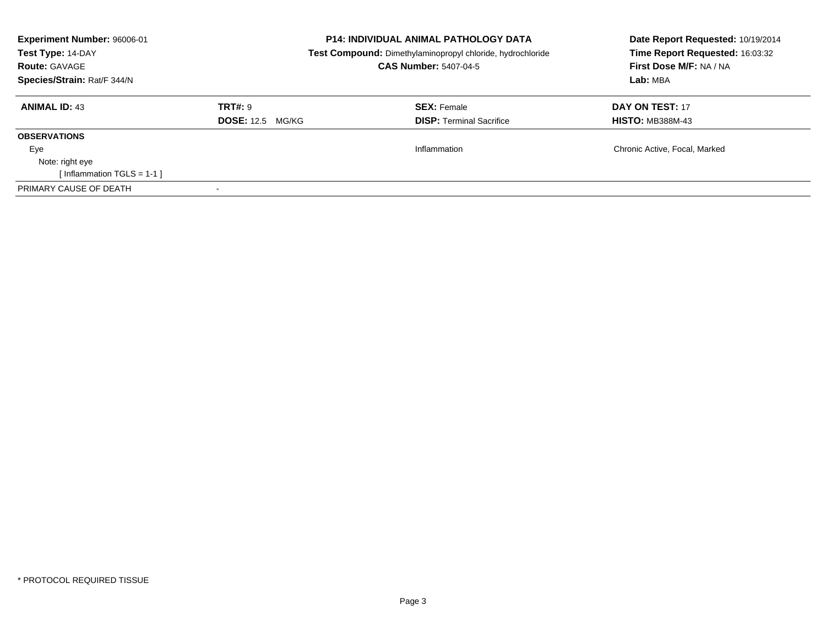| <b>Experiment Number: 96006-01</b><br>Test Type: 14-DAY<br><b>Route: GAVAGE</b><br>Species/Strain: Rat/F 344/N | <b>P14: INDIVIDUAL ANIMAL PATHOLOGY DATA</b><br>Test Compound: Dimethylaminopropyl chloride, hydrochloride<br><b>CAS Number: 5407-04-5</b> |                                                       | Date Report Requested: 10/19/2014<br>Time Report Requested: 16:03:32<br>First Dose M/F: NA / NA<br>Lab: MBA |
|----------------------------------------------------------------------------------------------------------------|--------------------------------------------------------------------------------------------------------------------------------------------|-------------------------------------------------------|-------------------------------------------------------------------------------------------------------------|
| <b>ANIMAL ID: 43</b>                                                                                           | TRT#: 9<br><b>DOSE: 12.5 MG/KG</b>                                                                                                         | <b>SEX: Female</b><br><b>DISP:</b> Terminal Sacrifice | DAY ON TEST: 17<br><b>HISTO: MB388M-43</b>                                                                  |
| <b>OBSERVATIONS</b>                                                                                            |                                                                                                                                            |                                                       |                                                                                                             |
| Eye<br>Note: right eye<br>[Inflammation TGLS = $1-1$ ]                                                         |                                                                                                                                            | Inflammation                                          | Chronic Active, Focal, Marked                                                                               |
| PRIMARY CAUSE OF DEATH                                                                                         |                                                                                                                                            |                                                       |                                                                                                             |